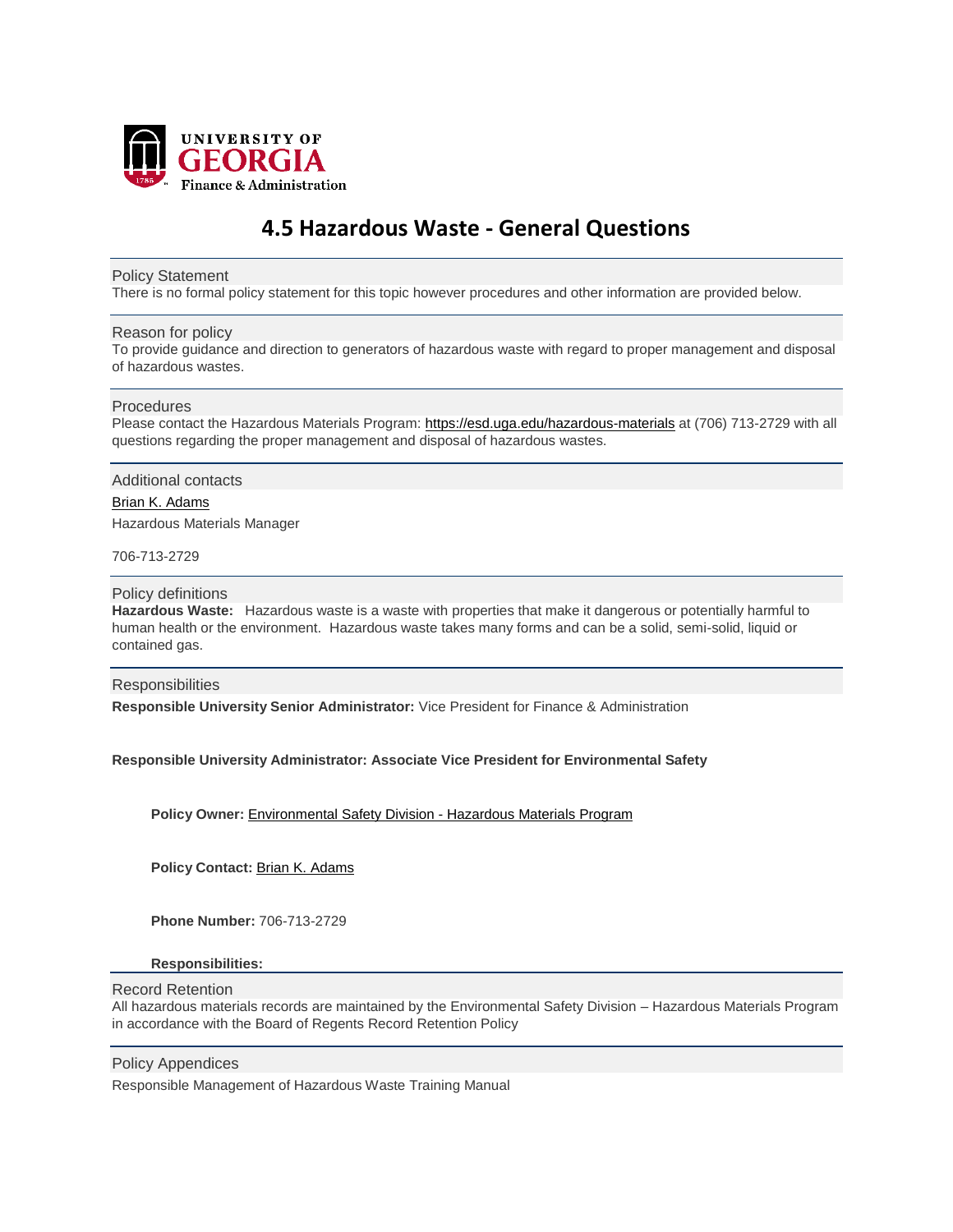

# **4.5 Hazardous Waste - General Questions**

### Policy Statement

There is no formal policy statement for this topic however procedures and other information are provided below.

## Reason for policy

To provide guidance and direction to generators of hazardous waste with regard to proper management and disposal of hazardous wastes.

## Procedures

Please contact the Hazardous Materials Program: <https://esd.uga.edu/hazardous-materials> at (706) 713-2729 with all questions regarding the proper management and disposal of hazardous wastes.

## Additional contacts

Brian K. [Adams](mailto:bkadams@uga.edu) Hazardous Materials Manager

706-713-2729

# Policy definitions

**Hazardous Waste:** Hazardous waste is a waste with properties that make it dangerous or potentially harmful to human health or the environment. Hazardous waste takes many forms and can be a solid, semi-solid, liquid or contained gas.

# **Responsibilities**

**Responsible University Senior Administrator:** Vice President for Finance & Administration

# **Responsible University Administrator: Associate Vice President for Environmental Safety**

**Policy Owner:** [Environmental](http://www.esd.uga.edu/) Safety Division - Hazardous Materials Program

**Policy Contact:** Brian K. [Adams](mailto:bkadams@uga.edu)

**Phone Number:** 706-713-2729

#### **Responsibilities:**

#### Record Retention

All hazardous materials records are maintained by the Environmental Safety Division – Hazardous Materials Program in accordance with the Board of Regents Record Retention Policy

#### Policy Appendices

Responsible Management of Hazardous Waste Training Manual